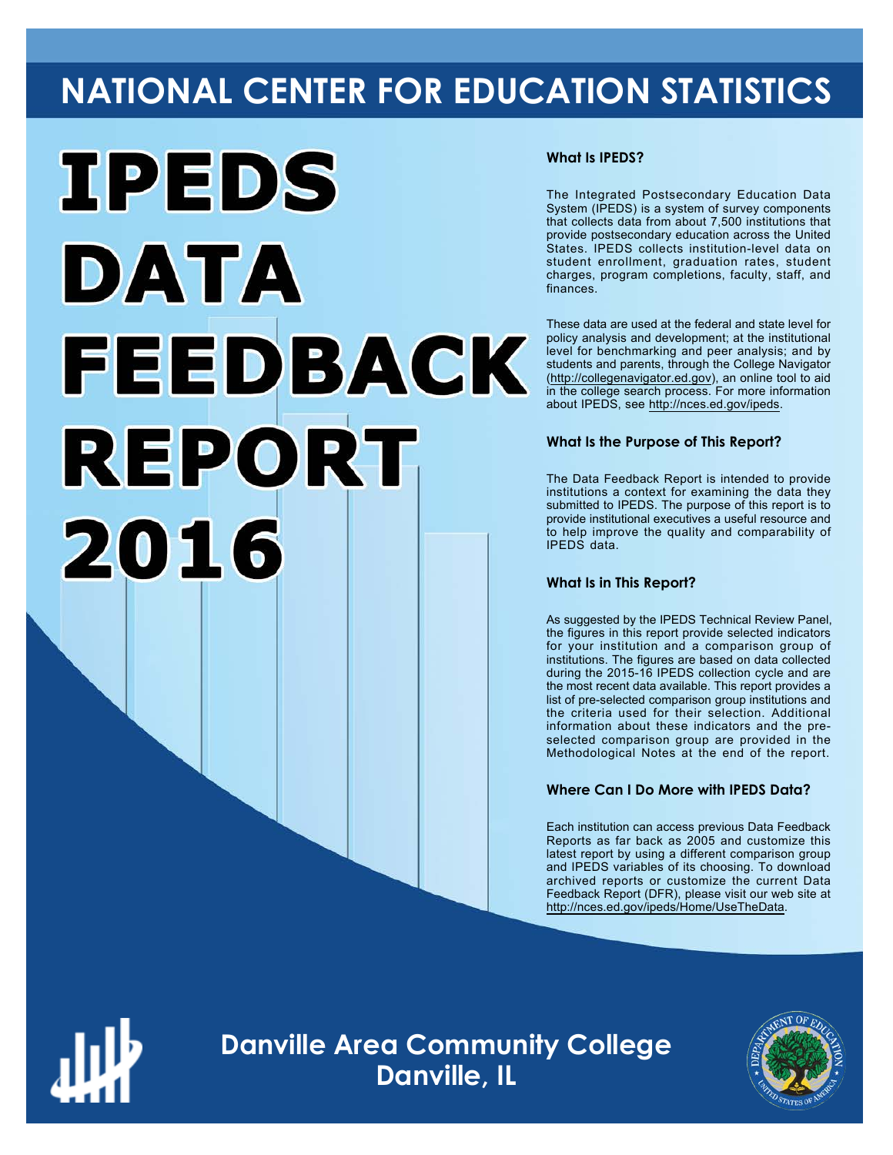# **NATIONAL CENTER FOR EDUCATION STATISTICS**



### **What Is IPEDS?**

The Integrated Postsecondary Education Data System (IPEDS) is a system of survey components that collects data from about 7,500 institutions that provide postsecondary education across the United States. IPEDS collects institution-level data on student enrollment, graduation rates, student charges, program completions, faculty, staff, and finances.

These data are used at the federal and state level for policy analysis and development; at the institutional level for benchmarking and peer analysis; and by students and parents, through the College Navigator ([http://collegenavigator.ed.gov\)](http://collegenavigator.ed.gov), an online tool to aid in the college search process. For more information about IPEDS, see [http://nces.ed.gov/ipeds.](http://nces.ed.gov/ipeds)

## **What Is the Purpose of This Report?**

The Data Feedback Report is intended to provide institutions a context for examining the data they submitted to IPEDS. The purpose of this report is to provide institutional executives a useful resource and to help improve the quality and comparability of IPEDS data.

#### **What Is in This Report?**

As suggested by the IPEDS Technical Review Panel, the figures in this report provide selected indicators for your institution and a comparison group of institutions. The figures are based on data collected during the 2015-16 IPEDS collection cycle and are the most recent data available. This report provides a list of pre-selected comparison group institutions and the criteria used for their selection. Additional information about these indicators and the preselected comparison group are provided in the Methodological Notes at the end of the report.

# **Where Can I Do More with IPEDS Data?**

Each institution can access previous Data Feedback Reports as far back as 2005 and customize this latest report by using a different comparison group and IPEDS variables of its choosing. To download archived reports or customize the current Data Feedback Report (DFR), please visit our web site at [http://nces.ed.gov/ipeds/Home/UseTheData.](http://nces.ed.gov/ipeds/Home/UseTheData)



**Danville Area Community College Danville, IL**

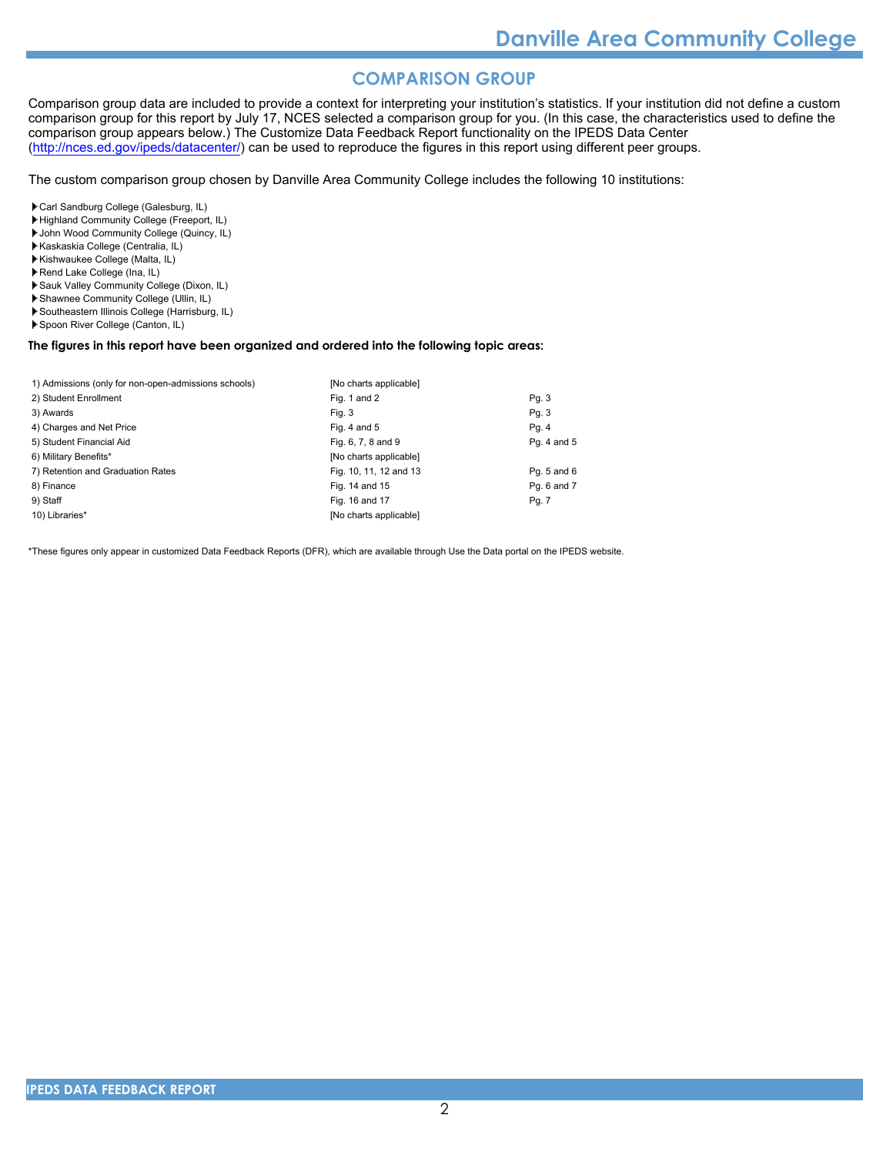# **COMPARISON GROUP**

Comparison group data are included to provide a context for interpreting your institution's statistics. If your institution did not define a custom comparison group for this report by July 17, NCES selected a comparison group for you. (In this case, the characteristics used to define the comparison group appears below.) The Customize Data Feedback Report functionality on the IPEDS Data Center [\(http://nces.ed.gov/ipeds/datacenter/\)](http://nces.ed.gov/ipeds/datacenter/) can be used to reproduce the figures in this report using different peer groups.

The custom comparison group chosen by Danville Area Community College includes the following 10 institutions:

Carl Sandburg College (Galesburg, IL)

- Highland Community College (Freeport, IL)
- John Wood Community College (Quincy, IL)
- Kaskaskia College (Centralia, IL) Kishwaukee College (Malta, IL)
- Rend Lake College (Ina, IL)
- Sauk Valley Community College (Dixon, IL)
- Shawnee Community College (Ullin, IL)
- Southeastern Illinois College (Harrisburg, IL)
- Spoon River College (Canton, IL)

# **The figures in this report have been organized and ordered into the following topic areas:**

| 1) Admissions (only for non-open-admissions schools) | [No charts applicable] |                 |
|------------------------------------------------------|------------------------|-----------------|
| 2) Student Enrollment                                | Fig. 1 and 2           | Pg. 3           |
| 3) Awards                                            | Fig. 3                 | Pg. 3           |
| 4) Charges and Net Price                             | Fig. 4 and $5$         | Pg. 4           |
| 5) Student Financial Aid                             | Fig. 6, 7, 8 and 9     | Pg. 4 and 5     |
| 6) Military Benefits*                                | [No charts applicable] |                 |
| 7) Retention and Graduation Rates                    | Fig. 10, 11, 12 and 13 | Pq. $5$ and $6$ |
| 8) Finance                                           | Fig. 14 and 15         | Pq. 6 and 7     |
| 9) Staff                                             | Fig. 16 and 17         | Pg. 7           |
| 10) Libraries*                                       | [No charts applicable] |                 |

\*These figures only appear in customized Data Feedback Reports (DFR), which are available through Use the Data portal on the IPEDS website.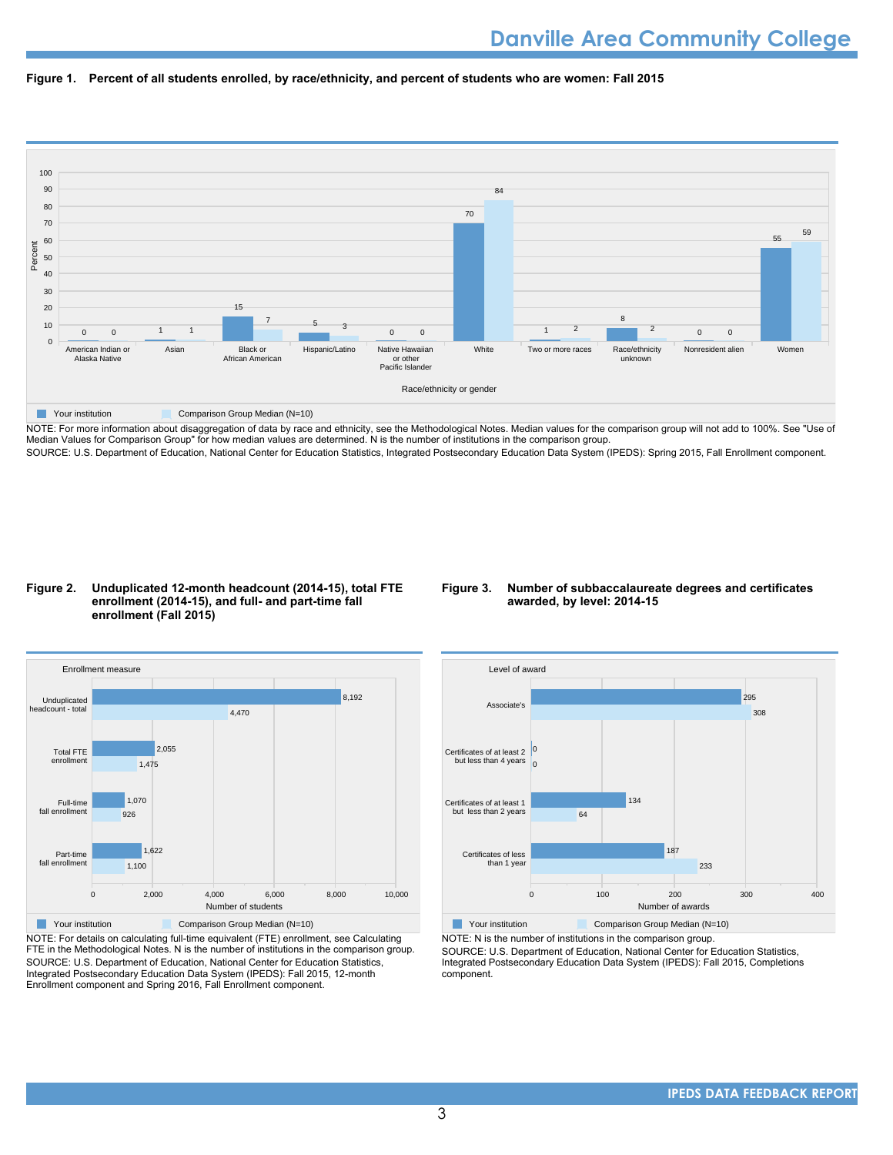



NOTE: For more information about disaggregation of data by race and ethnicity, see the Methodological Notes. Median values for the comparison group will not add to 100%. See "Use of Median Values for Comparison Group" for how median values are determined. N is the number of institutions in the comparison group. SOURCE: U.S. Department of Education, National Center for Education Statistics, Integrated Postsecondary Education Data System (IPEDS): Spring 2015, Fall Enrollment component.

#### **Figure 2. Unduplicated 12-month headcount (2014-15), total FTE enrollment (2014-15), and full- and part-time fall enrollment (Fall 2015)**

#### **Figure 3. Number of subbaccalaureate degrees and certificates awarded, by level: 2014-15**



NOTE: For details on calculating full-time equivalent (FTE) enrollment, see Calculating FTE in the Methodological Notes. N is the number of institutions in the comparison group. SOURCE: U.S. Department of Education, National Center for Education Statistics, Integrated Postsecondary Education Data System (IPEDS): Fall 2015, 12-month Enrollment component and Spring 2016, Fall Enrollment component.



NOTE: N is the number of institutions in the comparison group.

SOURCE: U.S. Department of Education, National Center for Education Statistics, Integrated Postsecondary Education Data System (IPEDS): Fall 2015, Completions component.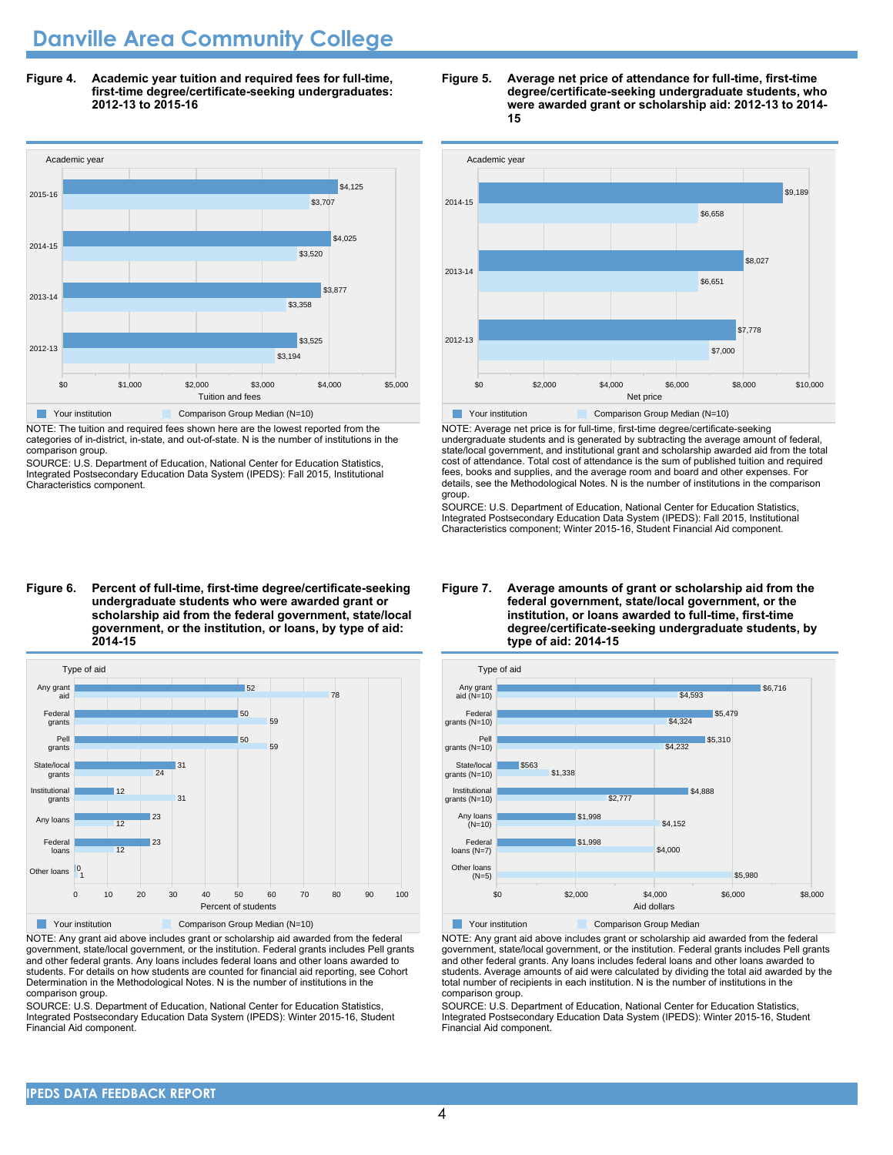# **Danville Area Community College**

**Figure 4. Academic year tuition and required fees for full-time, first-time degree/certificate-seeking undergraduates: 2012-13 to 2015-16**



NOTE: The tuition and required fees shown here are the lowest reported from the

categories of in-district, in-state, and out-of-state. N is the number of institutions in the comparison group.

SOURCE: U.S. Department of Education, National Center for Education Statistics, Integrated Postsecondary Education Data System (IPEDS): Fall 2015, Institutional Characteristics component.

#### **Figure 5. Average net price of attendance for full-time, first-time degree/certificate-seeking undergraduate students, who were awarded grant or scholarship aid: 2012-13 to 2014- 15**



NOTE: Average net price is for full-time, first-time degree/certificate-seeking undergraduate students and is generated by subtracting the average amount of federal, state/local government, and institutional grant and scholarship awarded aid from the total cost of attendance. Total cost of attendance is the sum of published tuition and required fees, books and supplies, and the average room and board and other expenses. For details, see the Methodological Notes. N is the number of institutions in the comparison group.

SOURCE: U.S. Department of Education, National Center for Education Statistics, Integrated Postsecondary Education Data System (IPEDS): Fall 2015, Institutional Characteristics component; Winter 2015-16, Student Financial Aid component.

#### **Figure 6. Percent of full-time, first-time degree/certificate-seeking undergraduate students who were awarded grant or scholarship aid from the federal government, state/local government, or the institution, or loans, by type of aid: 2014-15**



NOTE: Any grant aid above includes grant or scholarship aid awarded from the federal government, state/local government, or the institution. Federal grants includes Pell grants and other federal grants. Any loans includes federal loans and other loans awarded to students. For details on how students are counted for financial aid reporting, see Cohort Determination in the Methodological Notes. N is the number of institutions in the comparison group.

SOURCE: U.S. Department of Education, National Center for Education Statistics, Integrated Postsecondary Education Data System (IPEDS): Winter 2015-16, Student Financial Aid component.

#### **Figure 7. Average amounts of grant or scholarship aid from the federal government, state/local government, or the institution, or loans awarded to full-time, first-time degree/certificate-seeking undergraduate students, by type of aid: 2014-15**



NOTE: Any grant aid above includes grant or scholarship aid awarded from the federal government, state/local government, or the institution. Federal grants includes Pell grants and other federal grants. Any loans includes federal loans and other loans awarded to students. Average amounts of aid were calculated by dividing the total aid awarded by the total number of recipients in each institution. N is the number of institutions in the comparison group.

SOURCE: U.S. Department of Education, National Center for Education Statistics, Integrated Postsecondary Education Data System (IPEDS): Winter 2015-16, Student Financial Aid component.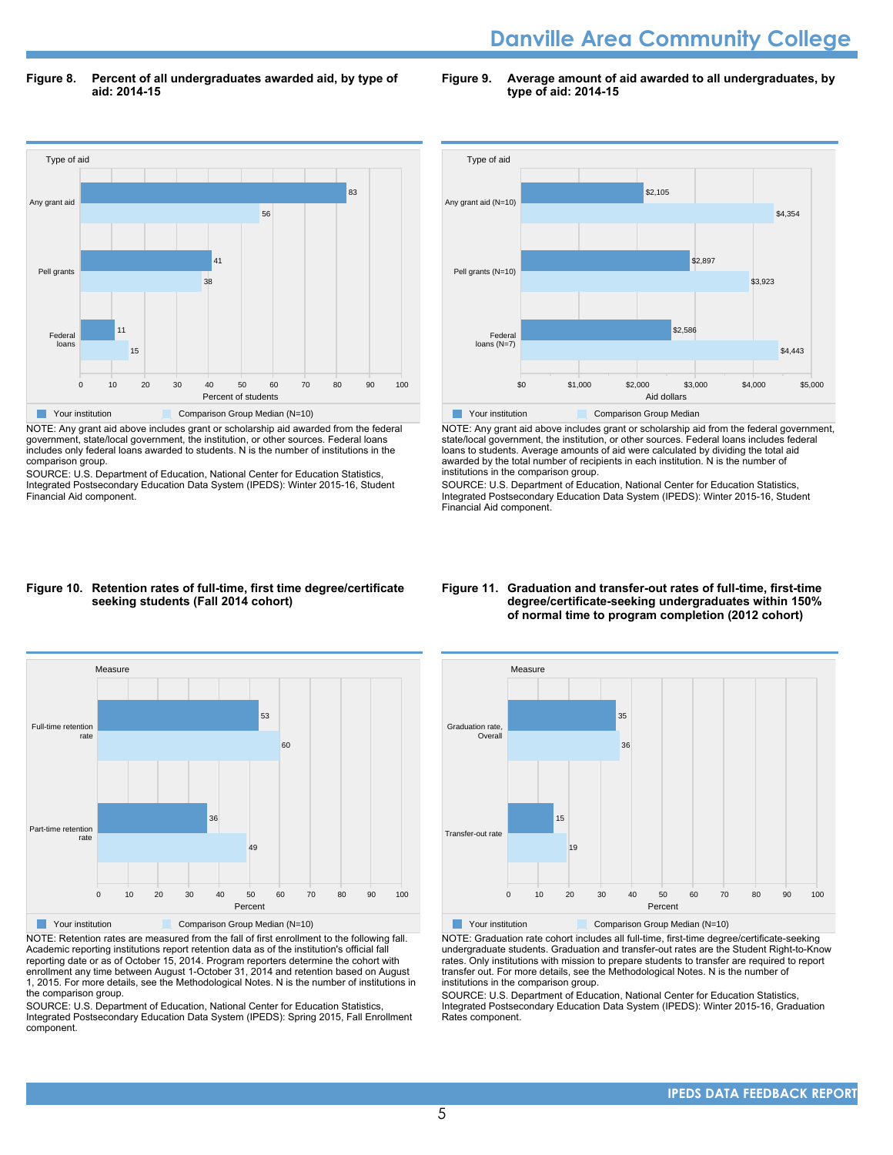# **Danville Area Community College**

**Figure 8. Percent of all undergraduates awarded aid, by type of aid: 2014-15**

**Figure 9. Average amount of aid awarded to all undergraduates, by type of aid: 2014-15**



NOTE: Any grant aid above includes grant or scholarship aid awarded from the federal government, state/local government, the institution, or other sources. Federal loans includes only federal loans awarded to students. N is the number of institutions in the comparison group.

SOURCE: U.S. Department of Education, National Center for Education Statistics, Integrated Postsecondary Education Data System (IPEDS): Winter 2015-16, Student Financial Aid component.



NOTE: Any grant aid above includes grant or scholarship aid from the federal government, state/local government, the institution, or other sources. Federal loans includes federal loans to students. Average amounts of aid were calculated by dividing the total aid awarded by the total number of recipients in each institution. N is the number of institutions in the comparison group.

SOURCE: U.S. Department of Education, National Center for Education Statistics, Integrated Postsecondary Education Data System (IPEDS): Winter 2015-16, Student Financial Aid component.

#### **Figure 10. Retention rates of full-time, first time degree/certificate seeking students (Fall 2014 cohort)**



NOTE: Retention rates are measured from the fall of first enrollment to the following fall. Academic reporting institutions report retention data as of the institution's official fall reporting date or as of October 15, 2014. Program reporters determine the cohort with enrollment any time between August 1-October 31, 2014 and retention based on August 1, 2015. For more details, see the Methodological Notes. N is the number of institutions in the comparison group.

SOURCE: U.S. Department of Education, National Center for Education Statistics, Integrated Postsecondary Education Data System (IPEDS): Spring 2015, Fall Enrollment component.

#### **Figure 11. Graduation and transfer-out rates of full-time, first-time degree/certificate-seeking undergraduates within 150% of normal time to program completion (2012 cohort)**



NOTE: Graduation rate cohort includes all full-time, first-time degree/certificate-seeking undergraduate students. Graduation and transfer-out rates are the Student Right-to-Know rates. Only institutions with mission to prepare students to transfer are required to report transfer out. For more details, see the Methodological Notes. N is the number of institutions in the comparison group.

SOURCE: U.S. Department of Education, National Center for Education Statistics, Integrated Postsecondary Education Data System (IPEDS): Winter 2015-16, Graduation Rates component.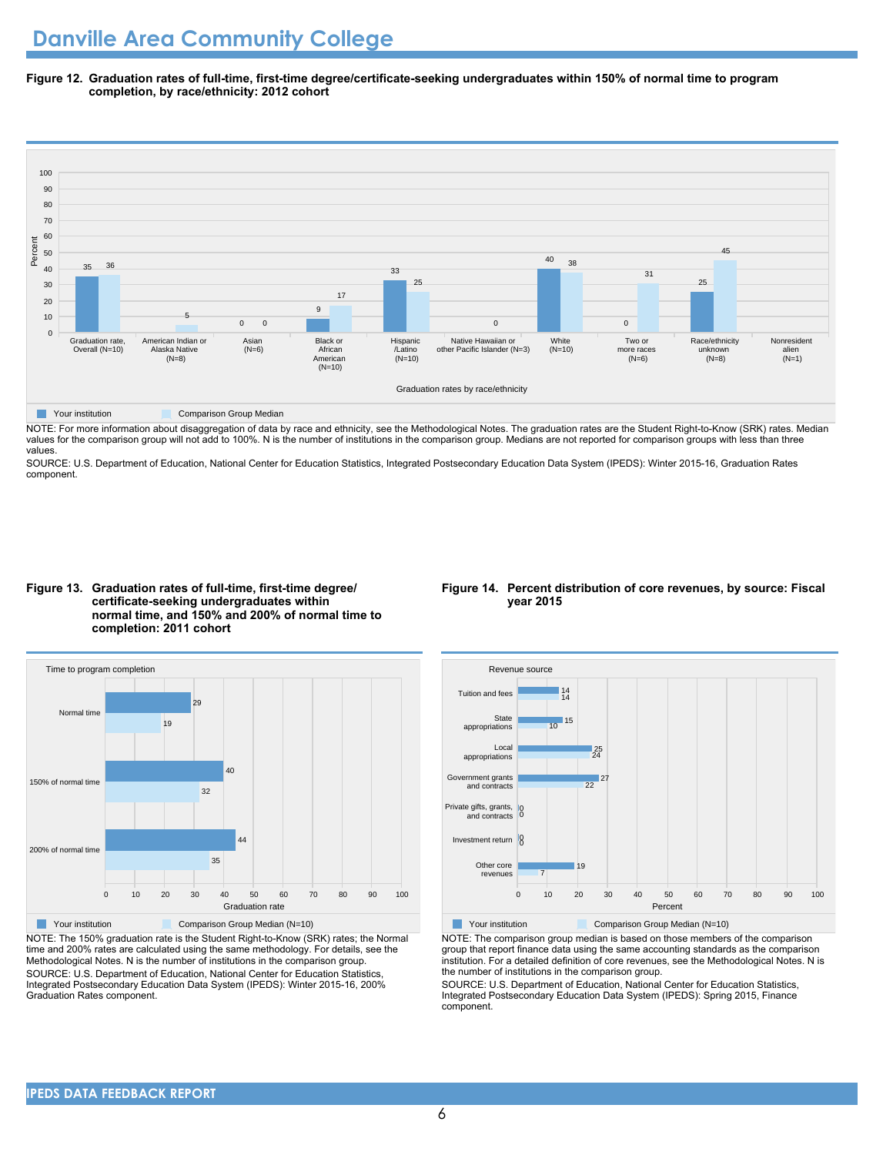**Figure 12. Graduation rates of full-time, first-time degree/certificate-seeking undergraduates within 150% of normal time to program completion, by race/ethnicity: 2012 cohort**



**The Comparison Group Median** Comparison Group Median

NOTE: For more information about disaggregation of data by race and ethnicity, see the Methodological Notes. The graduation rates are the Student Right-to-Know (SRK) rates. Median values for the comparison group will not add to 100%. N is the number of institutions in the comparison group. Medians are not reported for comparison groups with less than three values.

SOURCE: U.S. Department of Education, National Center for Education Statistics, Integrated Postsecondary Education Data System (IPEDS): Winter 2015-16, Graduation Rates component.





NOTE: The 150% graduation rate is the Student Right-to-Know (SRK) rates; the Normal time and 200% rates are calculated using the same methodology. For details, see the Methodological Notes. N is the number of institutions in the comparison group. SOURCE: U.S. Department of Education, National Center for Education Statistics, Integrated Postsecondary Education Data System (IPEDS): Winter 2015-16, 200% Graduation Rates component.

#### **Figure 14. Percent distribution of core revenues, by source: Fiscal year 2015**



Your institution Comparison Group Median (N=10)

NOTE: The comparison group median is based on those members of the comparison group that report finance data using the same accounting standards as the comparison institution. For a detailed definition of core revenues, see the Methodological Notes. N is the number of institutions in the comparison group.

SOURCE: U.S. Department of Education, National Center for Education Statistics, Integrated Postsecondary Education Data System (IPEDS): Spring 2015, Finance component.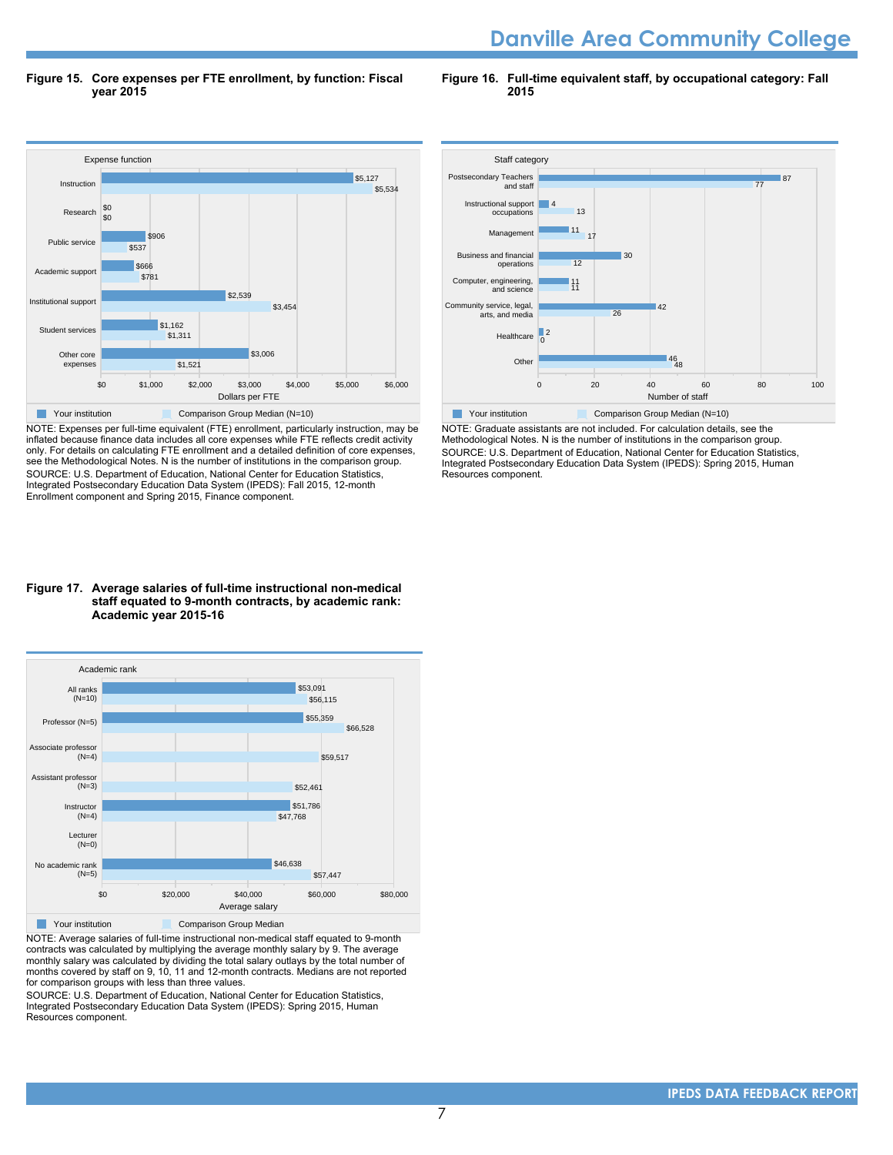# **Danville Area Community College**

**Figure 15. Core expenses per FTE enrollment, by function: Fiscal year 2015**

**Figure 16. Full-time equivalent staff, by occupational category: Fall 2015**



NOTE: Expenses per full-time equivalent (FTE) enrollment, particularly instruction, may be inflated because finance data includes all core expenses while FTE reflects credit activity only. For details on calculating FTE enrollment and a detailed definition of core expenses, see the Methodological Notes. N is the number of institutions in the comparison group. SOURCE: U.S. Department of Education, National Center for Education Statistics, Integrated Postsecondary Education Data System (IPEDS): Fall 2015, 12-month Enrollment component and Spring 2015, Finance component.

#### **Figure 17. Average salaries of full-time instructional non-medical staff equated to 9-month contracts, by academic rank: Academic year 2015-16**



NOTE: Average salaries of full-time instructional non-medical staff equated to 9-month contracts was calculated by multiplying the average monthly salary by 9. The average monthly salary was calculated by dividing the total salary outlays by the total number of months covered by staff on 9, 10, 11 and 12-month contracts. Medians are not reported for comparison groups with less than three values.

SOURCE: U.S. Department of Education, National Center for Education Statistics, Integrated Postsecondary Education Data System (IPEDS): Spring 2015, Human Resources component.



NOTE: Graduate assistants are not included. For calculation details, see the Methodological Notes. N is the number of institutions in the comparison group. SOURCE: U.S. Department of Education, National Center for Education Statistics, Integrated Postsecondary Education Data System (IPEDS): Spring 2015, Human Resources component.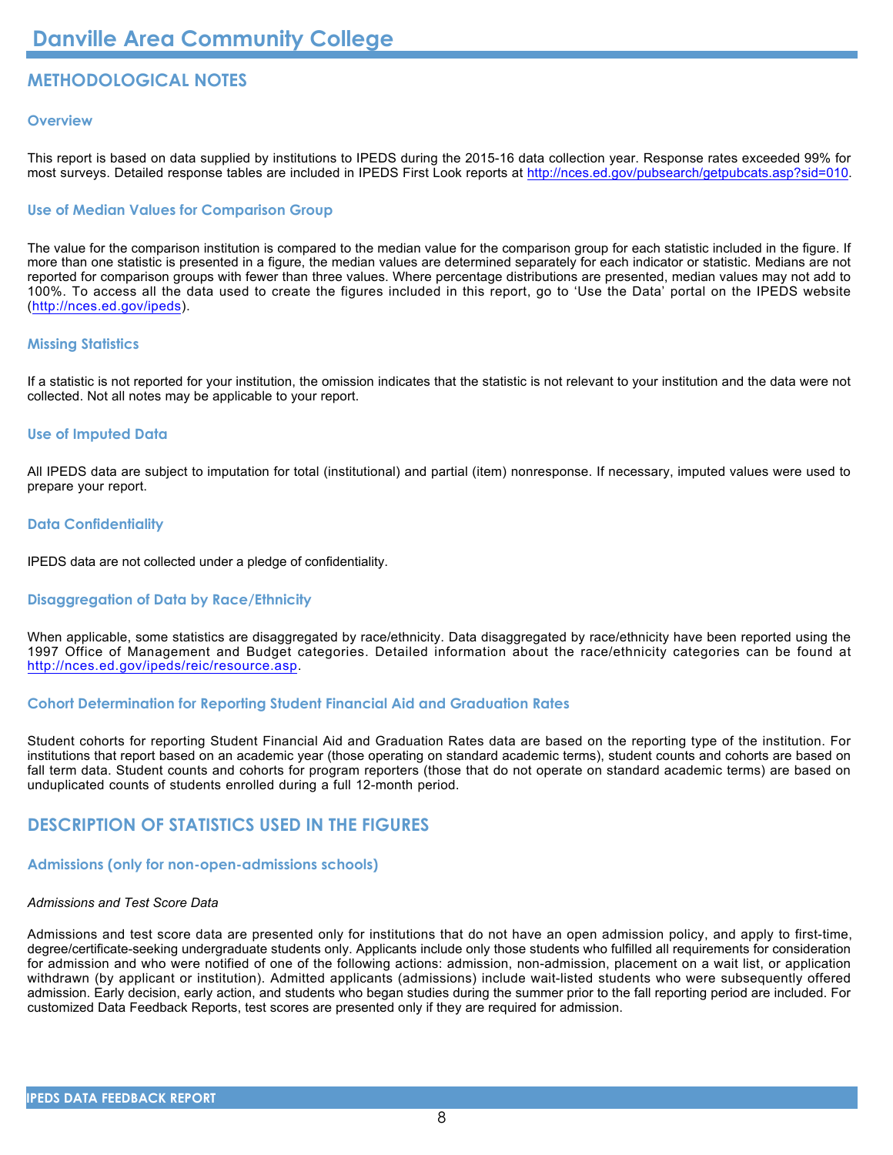# **METHODOLOGICAL NOTES**

#### **Overview**

This report is based on data supplied by institutions to IPEDS during the 2015-16 data collection year. Response rates exceeded 99% for most surveys. Detailed response tables are included in IPEDS First Look reports at [http://nces.ed.gov/pubsearch/getpubcats.asp?sid=010.](http://nces.ed.gov/pubsearch/getpubcats.asp?sid=010)

#### **Use of Median Values for Comparison Group**

The value for the comparison institution is compared to the median value for the comparison group for each statistic included in the figure. If more than one statistic is presented in a figure, the median values are determined separately for each indicator or statistic. Medians are not reported for comparison groups with fewer than three values. Where percentage distributions are presented, median values may not add to 100%. To access all the data used to create the figures included in this report, go to 'Use the Data' portal on the IPEDS website (<http://nces.ed.gov/ipeds>).

#### **Missing Statistics**

If a statistic is not reported for your institution, the omission indicates that the statistic is not relevant to your institution and the data were not collected. Not all notes may be applicable to your report.

#### **Use of Imputed Data**

All IPEDS data are subject to imputation for total (institutional) and partial (item) nonresponse. If necessary, imputed values were used to prepare your report.

#### **Data Confidentiality**

IPEDS data are not collected under a pledge of confidentiality.

#### **Disaggregation of Data by Race/Ethnicity**

When applicable, some statistics are disaggregated by race/ethnicity. Data disaggregated by race/ethnicity have been reported using the 1997 Office of Management and Budget categories. Detailed information about the race/ethnicity categories can be found at <http://nces.ed.gov/ipeds/reic/resource.asp>.

#### **Cohort Determination for Reporting Student Financial Aid and Graduation Rates**

Student cohorts for reporting Student Financial Aid and Graduation Rates data are based on the reporting type of the institution. For institutions that report based on an academic year (those operating on standard academic terms), student counts and cohorts are based on fall term data. Student counts and cohorts for program reporters (those that do not operate on standard academic terms) are based on unduplicated counts of students enrolled during a full 12-month period.

# **DESCRIPTION OF STATISTICS USED IN THE FIGURES**

# **Admissions (only for non-open-admissions schools)**

# *Admissions and Test Score Data*

Admissions and test score data are presented only for institutions that do not have an open admission policy, and apply to first-time, degree/certificate-seeking undergraduate students only. Applicants include only those students who fulfilled all requirements for consideration for admission and who were notified of one of the following actions: admission, non-admission, placement on a wait list, or application withdrawn (by applicant or institution). Admitted applicants (admissions) include wait-listed students who were subsequently offered admission. Early decision, early action, and students who began studies during the summer prior to the fall reporting period are included. For customized Data Feedback Reports, test scores are presented only if they are required for admission.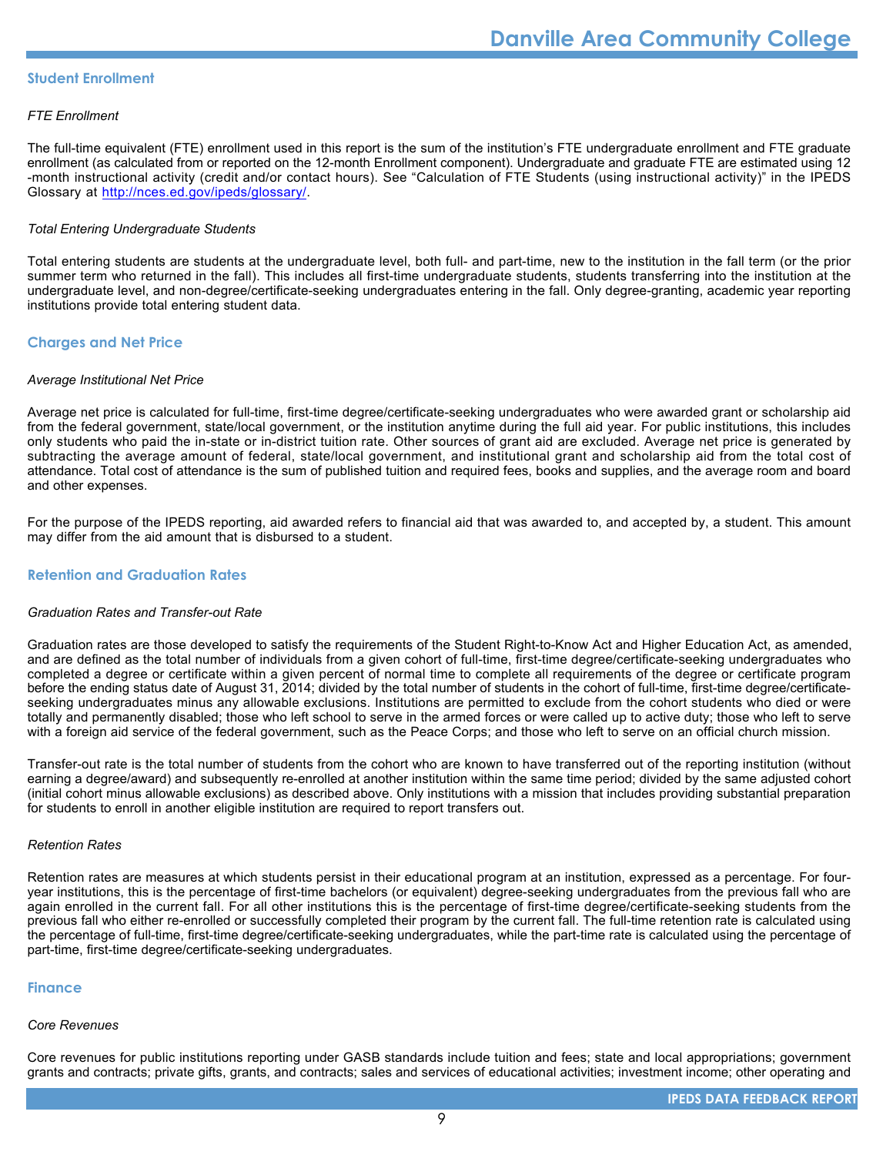#### **Student Enrollment**

#### *FTE Enrollment*

The full-time equivalent (FTE) enrollment used in this report is the sum of the institution's FTE undergraduate enrollment and FTE graduate enrollment (as calculated from or reported on the 12-month Enrollment component). Undergraduate and graduate FTE are estimated using 12 -month instructional activity (credit and/or contact hours). See "Calculation of FTE Students (using instructional activity)" in the IPEDS Glossary at <http://nces.ed.gov/ipeds/glossary/>.

#### *Total Entering Undergraduate Students*

Total entering students are students at the undergraduate level, both full- and part-time, new to the institution in the fall term (or the prior summer term who returned in the fall). This includes all first-time undergraduate students, students transferring into the institution at the undergraduate level, and non-degree/certificate-seeking undergraduates entering in the fall. Only degree-granting, academic year reporting institutions provide total entering student data.

#### **Charges and Net Price**

#### *Average Institutional Net Price*

Average net price is calculated for full-time, first-time degree/certificate-seeking undergraduates who were awarded grant or scholarship aid from the federal government, state/local government, or the institution anytime during the full aid year. For public institutions, this includes only students who paid the in-state or in-district tuition rate. Other sources of grant aid are excluded. Average net price is generated by subtracting the average amount of federal, state/local government, and institutional grant and scholarship aid from the total cost of attendance. Total cost of attendance is the sum of published tuition and required fees, books and supplies, and the average room and board and other expenses.

For the purpose of the IPEDS reporting, aid awarded refers to financial aid that was awarded to, and accepted by, a student. This amount may differ from the aid amount that is disbursed to a student.

#### **Retention and Graduation Rates**

#### *Graduation Rates and Transfer-out Rate*

Graduation rates are those developed to satisfy the requirements of the Student Right-to-Know Act and Higher Education Act, as amended, and are defined as the total number of individuals from a given cohort of full-time, first-time degree/certificate-seeking undergraduates who completed a degree or certificate within a given percent of normal time to complete all requirements of the degree or certificate program before the ending status date of August 31, 2014; divided by the total number of students in the cohort of full-time, first-time degree/certificateseeking undergraduates minus any allowable exclusions. Institutions are permitted to exclude from the cohort students who died or were totally and permanently disabled; those who left school to serve in the armed forces or were called up to active duty; those who left to serve with a foreign aid service of the federal government, such as the Peace Corps; and those who left to serve on an official church mission.

Transfer-out rate is the total number of students from the cohort who are known to have transferred out of the reporting institution (without earning a degree/award) and subsequently re-enrolled at another institution within the same time period; divided by the same adjusted cohort (initial cohort minus allowable exclusions) as described above. Only institutions with a mission that includes providing substantial preparation for students to enroll in another eligible institution are required to report transfers out.

#### *Retention Rates*

Retention rates are measures at which students persist in their educational program at an institution, expressed as a percentage. For fouryear institutions, this is the percentage of first-time bachelors (or equivalent) degree-seeking undergraduates from the previous fall who are again enrolled in the current fall. For all other institutions this is the percentage of first-time degree/certificate-seeking students from the previous fall who either re-enrolled or successfully completed their program by the current fall. The full-time retention rate is calculated using the percentage of full-time, first-time degree/certificate-seeking undergraduates, while the part-time rate is calculated using the percentage of part-time, first-time degree/certificate-seeking undergraduates.

#### **Finance**

#### *Core Revenues*

Core revenues for public institutions reporting under GASB standards include tuition and fees; state and local appropriations; government grants and contracts; private gifts, grants, and contracts; sales and services of educational activities; investment income; other operating and